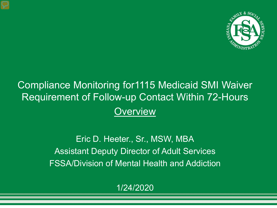

#### Compliance Monitoring for1115 Medicaid SMI Waiver Requirement of Follow-up Contact Within 72-Hours **Overview**

Eric D. Heeter., Sr., MSW, MBA Assistant Deputy Director of Adult Services FSSA/Division of Mental Health and Addiction

1/24/2020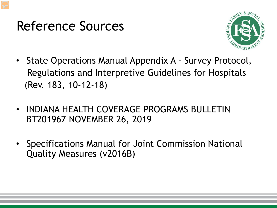### Reference Sources



- State Operations Manual Appendix A Survey Protocol, Regulations and Interpretive Guidelines for Hospitals (Rev. 183, 10-12-18)
- INDIANA HEALTH COVERAGE PROGRAMS BULLETIN BT201967 NOVEMBER 26, 2019
- Specifications Manual for Joint Commission National Quality Measures (v2016B)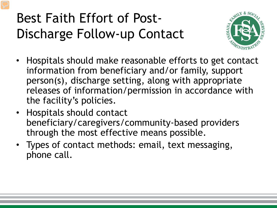# Best Faith Effort of Post-Discharge Follow-up Contact



- Hospitals should make reasonable efforts to get contact information from beneficiary and/or family, support person(s), discharge setting, along with appropriate releases of information/permission in accordance with the facility's policies.
- Hospitals should contact beneficiary/caregivers/community-based providers through the most effective means possible.
- Types of contact methods: email, text messaging, phone call.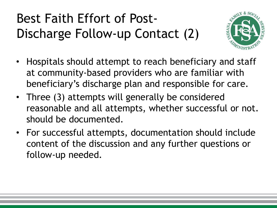# Best Faith Effort of Post-Discharge Follow-up Contact (2)



- Hospitals should attempt to reach beneficiary and staff at community-based providers who are familiar with beneficiary's discharge plan and responsible for care.
- Three (3) attempts will generally be considered reasonable and all attempts, whether successful or not. should be documented.
- For successful attempts, documentation should include content of the discussion and any further questions or follow-up needed.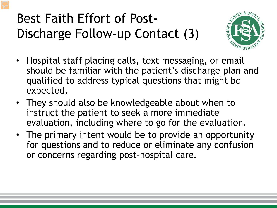# Best Faith Effort of Post-Discharge Follow-up Contact (3)



- Hospital staff placing calls, text messaging, or email should be familiar with the patient's discharge plan and qualified to address typical questions that might be expected.
- They should also be knowledgeable about when to instruct the patient to seek a more immediate evaluation, including where to go for the evaluation.
- The primary intent would be to provide an opportunity for questions and to reduce or eliminate any confusion or concerns regarding post-hospital care.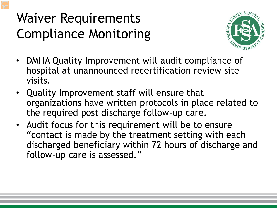## Waiver Requirements Compliance Monitoring



- DMHA Quality Improvement will audit compliance of hospital at unannounced recertification review site visits.
- Quality Improvement staff will ensure that organizations have written protocols in place related to the required post discharge follow-up care.
- Audit focus for this requirement will be to ensure "contact is made by the treatment setting with each discharged beneficiary within 72 hours of discharge and follow-up care is assessed."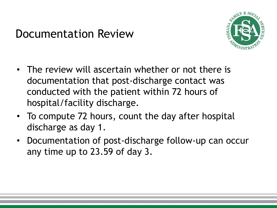#### Documentation Review



- The review will ascertain whether or not there is documentation that post-discharge contact was conducted with the patient within 72 hours of hospital/facility discharge.
- To compute 72 hours, count the day after hospital discharge as day 1.
- Documentation of post-discharge follow-up can occur any time up to 23.59 of day 3.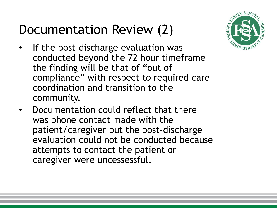## Documentation Review (2)



- If the post-discharge evaluation was conducted beyond the 72 hour timeframe the finding will be that of "out of compliance" with respect to required care coordination and transition to the community.
- Documentation could reflect that there was phone contact made with the patient/caregiver but the post-discharge evaluation could not be conducted because attempts to contact the patient or caregiver were uncessessful.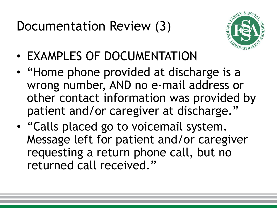Documentation Review (3)



- EXAMPLES OF DOCUMENTATION
- "Home phone provided at discharge is a wrong number, AND no e-mail address or other contact information was provided by patient and/or caregiver at discharge."
- "Calls placed go to voicemail system. Message left for patient and/or caregiver requesting a return phone call, but no returned call received."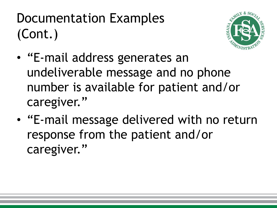# Documentation Examples (Cont.)



- "E-mail address generates an undeliverable message and no phone number is available for patient and/or caregiver."
- "E-mail message delivered with no return response from the patient and/or caregiver."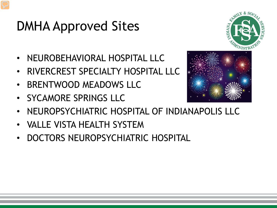## DMHA Approved Sites

- NEUROBEHAVIORAL HOSPITAL LLC
- RIVERCREST SPECIALTY HOSPITAL LLC
- BRENTWOOD MEADOWS LLC
- SYCAMORE SPRINGS LLC



ILY & SO

- NEUROPSYCHIATRIC HOSPITAL OF INDIANAPOLIS LLC
- VALLE VISTA HEALTH SYSTEM
- DOCTORS NEUROPSYCHIATRIC HOSPITAL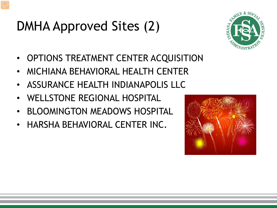# DMHA Approved Sites (2)



- OPTIONS TREATMENT CENTER ACQUISITION
- MICHIANA BEHAVIORAL HEALTH CENTER
- ASSURANCE HEALTH INDIANAPOLIS LLC
- WELLSTONE REGIONAL HOSPITAL
- BLOOMINGTON MEADOWS HOSPITAL
- HARSHA BEHAVIORAL CENTER INC.